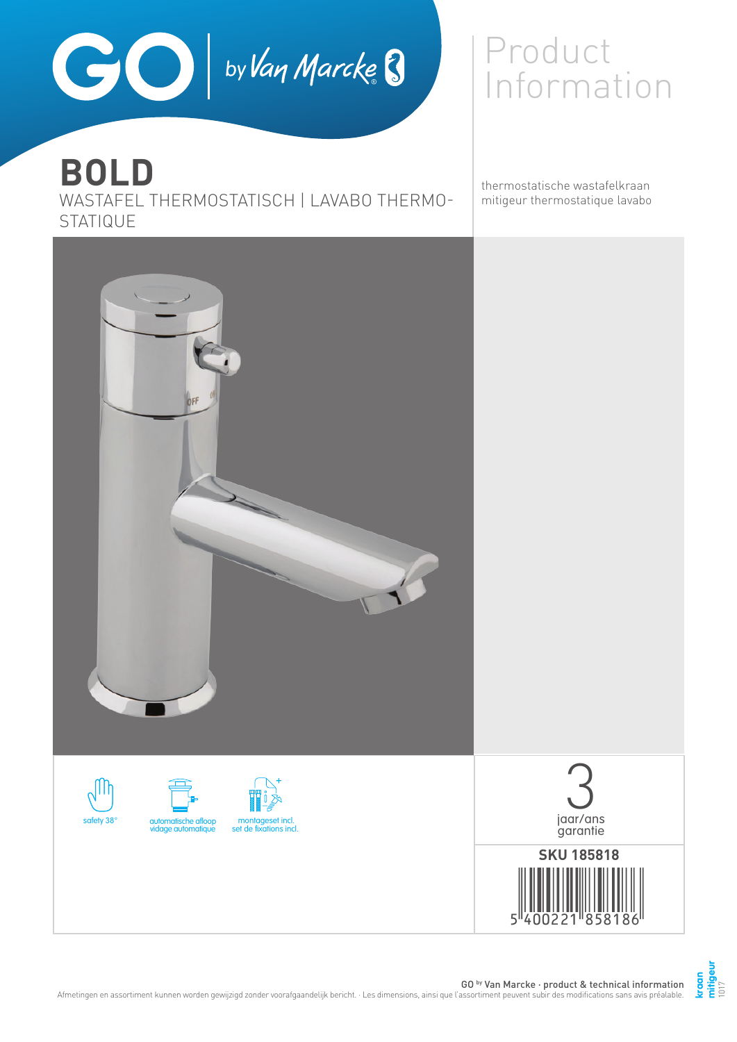

# **BOLD**

WASTAFEL THERMOSTATISCH | LAVABO THERMO-STATIQUE

## Product Information

thermostatische wastafelkraan mitigeur thermostatique lavabo

> **kraan mitigeur** 1017



GO by Van Marcke · product & technical information Afmetingen en assortiment kunnen worden gewijzigd zonder voorafgaandelijk bericht. · Les dimensions, ainsi que l'assortiment peuvent subir des modifications sans avis préalable.